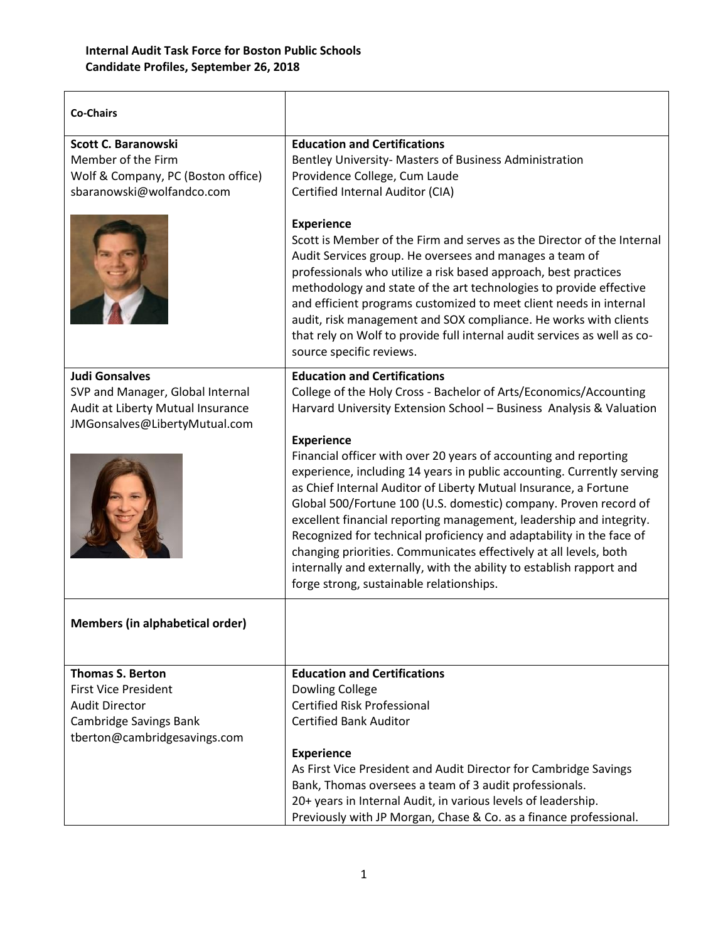| <b>Co-Chairs</b>                                                                                                                          |                                                                                                                                                                                                                                                                                                                                                                                                                                                                                                                                                                                                                                                                                                                                                                                                                                    |
|-------------------------------------------------------------------------------------------------------------------------------------------|------------------------------------------------------------------------------------------------------------------------------------------------------------------------------------------------------------------------------------------------------------------------------------------------------------------------------------------------------------------------------------------------------------------------------------------------------------------------------------------------------------------------------------------------------------------------------------------------------------------------------------------------------------------------------------------------------------------------------------------------------------------------------------------------------------------------------------|
| Scott C. Baranowski<br>Member of the Firm<br>Wolf & Company, PC (Boston office)<br>sbaranowski@wolfandco.com                              | <b>Education and Certifications</b><br>Bentley University- Masters of Business Administration<br>Providence College, Cum Laude<br>Certified Internal Auditor (CIA)<br><b>Experience</b><br>Scott is Member of the Firm and serves as the Director of the Internal<br>Audit Services group. He oversees and manages a team of<br>professionals who utilize a risk based approach, best practices<br>methodology and state of the art technologies to provide effective<br>and efficient programs customized to meet client needs in internal<br>audit, risk management and SOX compliance. He works with clients<br>that rely on Wolf to provide full internal audit services as well as co-<br>source specific reviews.                                                                                                            |
| <b>Judi Gonsalves</b><br>SVP and Manager, Global Internal<br>Audit at Liberty Mutual Insurance<br>JMGonsalves@LibertyMutual.com           | <b>Education and Certifications</b><br>College of the Holy Cross - Bachelor of Arts/Economics/Accounting<br>Harvard University Extension School - Business Analysis & Valuation<br><b>Experience</b><br>Financial officer with over 20 years of accounting and reporting<br>experience, including 14 years in public accounting. Currently serving<br>as Chief Internal Auditor of Liberty Mutual Insurance, a Fortune<br>Global 500/Fortune 100 (U.S. domestic) company. Proven record of<br>excellent financial reporting management, leadership and integrity.<br>Recognized for technical proficiency and adaptability in the face of<br>changing priorities. Communicates effectively at all levels, both<br>internally and externally, with the ability to establish rapport and<br>forge strong, sustainable relationships. |
| <b>Members (in alphabetical order)</b>                                                                                                    |                                                                                                                                                                                                                                                                                                                                                                                                                                                                                                                                                                                                                                                                                                                                                                                                                                    |
| <b>Thomas S. Berton</b><br><b>First Vice President</b><br><b>Audit Director</b><br>Cambridge Savings Bank<br>tberton@cambridgesavings.com | <b>Education and Certifications</b><br>Dowling College<br><b>Certified Risk Professional</b><br><b>Certified Bank Auditor</b><br><b>Experience</b><br>As First Vice President and Audit Director for Cambridge Savings<br>Bank, Thomas oversees a team of 3 audit professionals.<br>20+ years in Internal Audit, in various levels of leadership.<br>Previously with JP Morgan, Chase & Co. as a finance professional.                                                                                                                                                                                                                                                                                                                                                                                                             |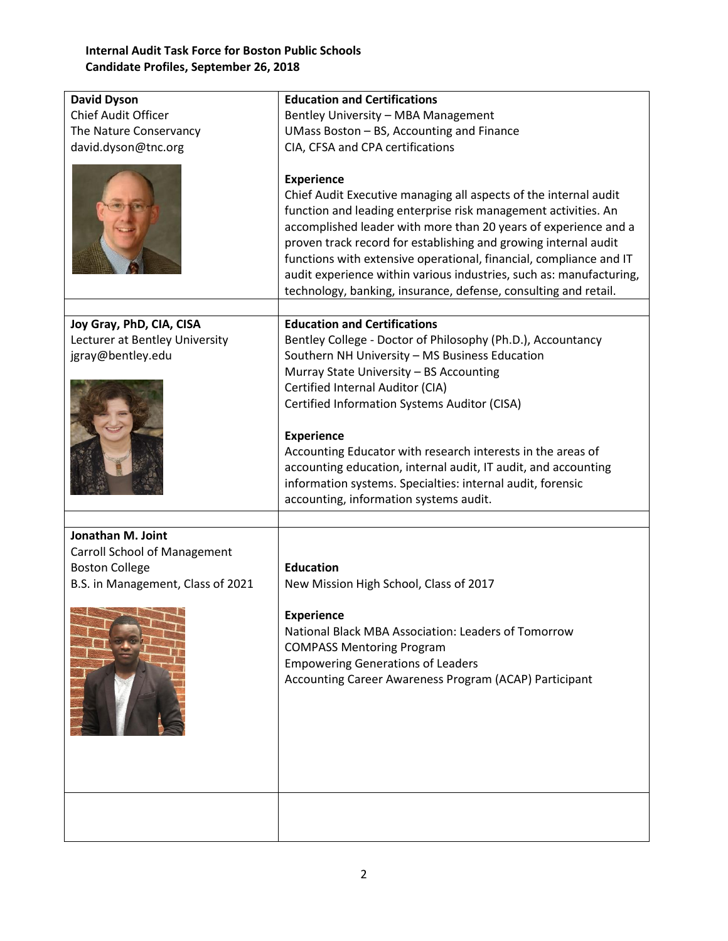## **Internal Audit Task Force for Boston Public Schools Candidate Profiles, September 26, 2018**

| <b>David Dyson</b>                  | <b>Education and Certifications</b>                                                                                                                                                                                                                                                                                                                                                                                                                                                                           |
|-------------------------------------|---------------------------------------------------------------------------------------------------------------------------------------------------------------------------------------------------------------------------------------------------------------------------------------------------------------------------------------------------------------------------------------------------------------------------------------------------------------------------------------------------------------|
| <b>Chief Audit Officer</b>          | Bentley University - MBA Management                                                                                                                                                                                                                                                                                                                                                                                                                                                                           |
| The Nature Conservancy              | UMass Boston - BS, Accounting and Finance                                                                                                                                                                                                                                                                                                                                                                                                                                                                     |
| david.dyson@tnc.org                 | CIA, CFSA and CPA certifications                                                                                                                                                                                                                                                                                                                                                                                                                                                                              |
|                                     | <b>Experience</b><br>Chief Audit Executive managing all aspects of the internal audit<br>function and leading enterprise risk management activities. An<br>accomplished leader with more than 20 years of experience and a<br>proven track record for establishing and growing internal audit<br>functions with extensive operational, financial, compliance and IT<br>audit experience within various industries, such as: manufacturing,<br>technology, banking, insurance, defense, consulting and retail. |
| Joy Gray, PhD, CIA, CISA            | <b>Education and Certifications</b>                                                                                                                                                                                                                                                                                                                                                                                                                                                                           |
| Lecturer at Bentley University      | Bentley College - Doctor of Philosophy (Ph.D.), Accountancy                                                                                                                                                                                                                                                                                                                                                                                                                                                   |
| jgray@bentley.edu                   | Southern NH University - MS Business Education                                                                                                                                                                                                                                                                                                                                                                                                                                                                |
|                                     | Murray State University - BS Accounting                                                                                                                                                                                                                                                                                                                                                                                                                                                                       |
|                                     | Certified Internal Auditor (CIA)                                                                                                                                                                                                                                                                                                                                                                                                                                                                              |
|                                     | Certified Information Systems Auditor (CISA)                                                                                                                                                                                                                                                                                                                                                                                                                                                                  |
|                                     |                                                                                                                                                                                                                                                                                                                                                                                                                                                                                                               |
|                                     | <b>Experience</b><br>Accounting Educator with research interests in the areas of                                                                                                                                                                                                                                                                                                                                                                                                                              |
|                                     | accounting education, internal audit, IT audit, and accounting                                                                                                                                                                                                                                                                                                                                                                                                                                                |
|                                     | information systems. Specialties: internal audit, forensic                                                                                                                                                                                                                                                                                                                                                                                                                                                    |
|                                     | accounting, information systems audit.                                                                                                                                                                                                                                                                                                                                                                                                                                                                        |
|                                     |                                                                                                                                                                                                                                                                                                                                                                                                                                                                                                               |
| Jonathan M. Joint                   |                                                                                                                                                                                                                                                                                                                                                                                                                                                                                                               |
| <b>Carroll School of Management</b> |                                                                                                                                                                                                                                                                                                                                                                                                                                                                                                               |
| <b>Boston College</b>               | <b>Education</b>                                                                                                                                                                                                                                                                                                                                                                                                                                                                                              |
| B.S. in Management, Class of 2021   | New Mission High School, Class of 2017                                                                                                                                                                                                                                                                                                                                                                                                                                                                        |
|                                     | <b>Experience</b>                                                                                                                                                                                                                                                                                                                                                                                                                                                                                             |
|                                     | National Black MBA Association: Leaders of Tomorrow                                                                                                                                                                                                                                                                                                                                                                                                                                                           |
|                                     | <b>COMPASS Mentoring Program</b>                                                                                                                                                                                                                                                                                                                                                                                                                                                                              |
|                                     | <b>Empowering Generations of Leaders</b>                                                                                                                                                                                                                                                                                                                                                                                                                                                                      |
|                                     | Accounting Career Awareness Program (ACAP) Participant                                                                                                                                                                                                                                                                                                                                                                                                                                                        |
|                                     |                                                                                                                                                                                                                                                                                                                                                                                                                                                                                                               |
|                                     |                                                                                                                                                                                                                                                                                                                                                                                                                                                                                                               |
|                                     |                                                                                                                                                                                                                                                                                                                                                                                                                                                                                                               |
|                                     |                                                                                                                                                                                                                                                                                                                                                                                                                                                                                                               |
|                                     |                                                                                                                                                                                                                                                                                                                                                                                                                                                                                                               |
|                                     |                                                                                                                                                                                                                                                                                                                                                                                                                                                                                                               |
|                                     |                                                                                                                                                                                                                                                                                                                                                                                                                                                                                                               |
|                                     |                                                                                                                                                                                                                                                                                                                                                                                                                                                                                                               |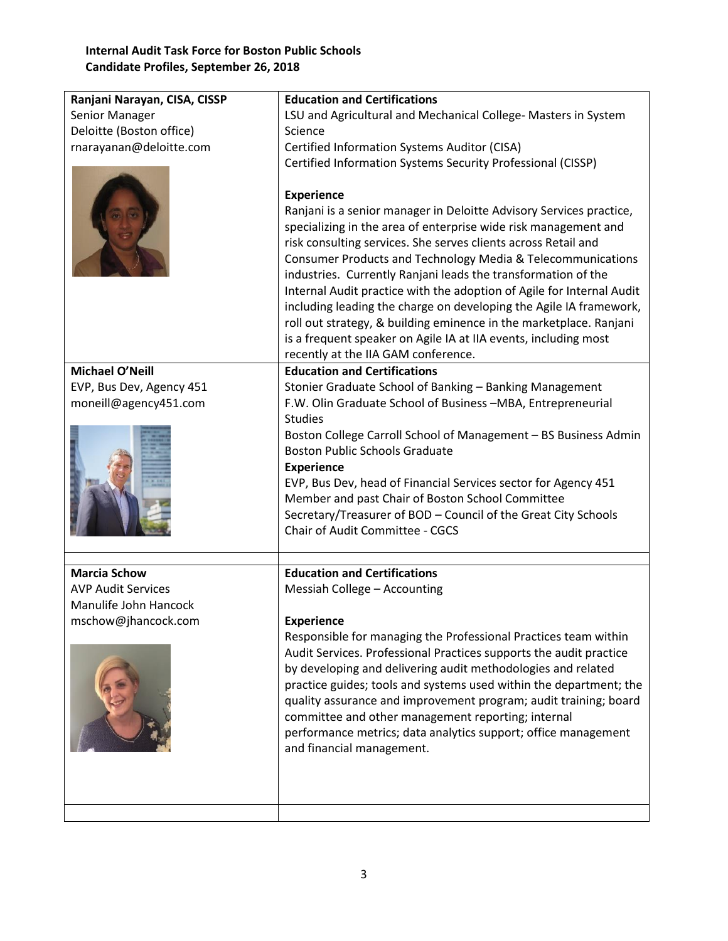## **Internal Audit Task Force for Boston Public Schools Candidate Profiles, September 26, 2018**

| Ranjani Narayan, CISA, CISSP | <b>Education and Certifications</b>                                                                                                                                                                                                                                                                                                                                                                                                                                                                                                                                                                                                                                                          |
|------------------------------|----------------------------------------------------------------------------------------------------------------------------------------------------------------------------------------------------------------------------------------------------------------------------------------------------------------------------------------------------------------------------------------------------------------------------------------------------------------------------------------------------------------------------------------------------------------------------------------------------------------------------------------------------------------------------------------------|
| Senior Manager               | LSU and Agricultural and Mechanical College- Masters in System                                                                                                                                                                                                                                                                                                                                                                                                                                                                                                                                                                                                                               |
| Deloitte (Boston office)     | Science                                                                                                                                                                                                                                                                                                                                                                                                                                                                                                                                                                                                                                                                                      |
| rnarayanan@deloitte.com      | Certified Information Systems Auditor (CISA)                                                                                                                                                                                                                                                                                                                                                                                                                                                                                                                                                                                                                                                 |
|                              | Certified Information Systems Security Professional (CISSP)                                                                                                                                                                                                                                                                                                                                                                                                                                                                                                                                                                                                                                  |
|                              | <b>Experience</b><br>Ranjani is a senior manager in Deloitte Advisory Services practice,<br>specializing in the area of enterprise wide risk management and<br>risk consulting services. She serves clients across Retail and<br>Consumer Products and Technology Media & Telecommunications<br>industries. Currently Ranjani leads the transformation of the<br>Internal Audit practice with the adoption of Agile for Internal Audit<br>including leading the charge on developing the Agile IA framework,<br>roll out strategy, & building eminence in the marketplace. Ranjani<br>is a frequent speaker on Agile IA at IIA events, including most<br>recently at the IIA GAM conference. |
| <b>Michael O'Neill</b>       | <b>Education and Certifications</b>                                                                                                                                                                                                                                                                                                                                                                                                                                                                                                                                                                                                                                                          |
| EVP, Bus Dev, Agency 451     | Stonier Graduate School of Banking - Banking Management                                                                                                                                                                                                                                                                                                                                                                                                                                                                                                                                                                                                                                      |
| moneill@agency451.com        | F.W. Olin Graduate School of Business -MBA, Entrepreneurial                                                                                                                                                                                                                                                                                                                                                                                                                                                                                                                                                                                                                                  |
|                              | <b>Studies</b>                                                                                                                                                                                                                                                                                                                                                                                                                                                                                                                                                                                                                                                                               |
|                              | Boston College Carroll School of Management - BS Business Admin                                                                                                                                                                                                                                                                                                                                                                                                                                                                                                                                                                                                                              |
|                              | <b>Boston Public Schools Graduate</b>                                                                                                                                                                                                                                                                                                                                                                                                                                                                                                                                                                                                                                                        |
|                              | <b>Experience</b>                                                                                                                                                                                                                                                                                                                                                                                                                                                                                                                                                                                                                                                                            |
|                              | EVP, Bus Dev, head of Financial Services sector for Agency 451                                                                                                                                                                                                                                                                                                                                                                                                                                                                                                                                                                                                                               |
|                              | Member and past Chair of Boston School Committee                                                                                                                                                                                                                                                                                                                                                                                                                                                                                                                                                                                                                                             |
|                              | Secretary/Treasurer of BOD - Council of the Great City Schools                                                                                                                                                                                                                                                                                                                                                                                                                                                                                                                                                                                                                               |
|                              | Chair of Audit Committee - CGCS                                                                                                                                                                                                                                                                                                                                                                                                                                                                                                                                                                                                                                                              |
|                              |                                                                                                                                                                                                                                                                                                                                                                                                                                                                                                                                                                                                                                                                                              |
| <b>Marcia Schow</b>          | <b>Education and Certifications</b>                                                                                                                                                                                                                                                                                                                                                                                                                                                                                                                                                                                                                                                          |
| <b>AVP Audit Services</b>    | Messiah College - Accounting                                                                                                                                                                                                                                                                                                                                                                                                                                                                                                                                                                                                                                                                 |
| Manulife John Hancock        |                                                                                                                                                                                                                                                                                                                                                                                                                                                                                                                                                                                                                                                                                              |
| mschow@jhancock.com          | Experience                                                                                                                                                                                                                                                                                                                                                                                                                                                                                                                                                                                                                                                                                   |
|                              | Responsible for managing the Professional Practices team within                                                                                                                                                                                                                                                                                                                                                                                                                                                                                                                                                                                                                              |
|                              | Audit Services. Professional Practices supports the audit practice                                                                                                                                                                                                                                                                                                                                                                                                                                                                                                                                                                                                                           |
|                              | by developing and delivering audit methodologies and related                                                                                                                                                                                                                                                                                                                                                                                                                                                                                                                                                                                                                                 |
|                              | practice guides; tools and systems used within the department; the                                                                                                                                                                                                                                                                                                                                                                                                                                                                                                                                                                                                                           |
|                              | quality assurance and improvement program; audit training; board                                                                                                                                                                                                                                                                                                                                                                                                                                                                                                                                                                                                                             |
|                              | committee and other management reporting; internal                                                                                                                                                                                                                                                                                                                                                                                                                                                                                                                                                                                                                                           |
|                              | performance metrics; data analytics support; office management                                                                                                                                                                                                                                                                                                                                                                                                                                                                                                                                                                                                                               |
|                              | and financial management.                                                                                                                                                                                                                                                                                                                                                                                                                                                                                                                                                                                                                                                                    |
|                              |                                                                                                                                                                                                                                                                                                                                                                                                                                                                                                                                                                                                                                                                                              |
|                              |                                                                                                                                                                                                                                                                                                                                                                                                                                                                                                                                                                                                                                                                                              |
|                              |                                                                                                                                                                                                                                                                                                                                                                                                                                                                                                                                                                                                                                                                                              |
|                              |                                                                                                                                                                                                                                                                                                                                                                                                                                                                                                                                                                                                                                                                                              |